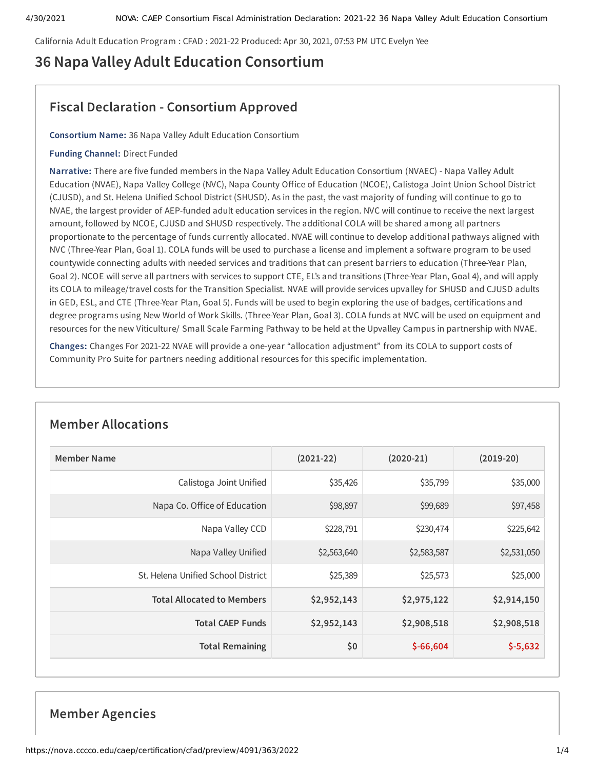California Adult Education Program : CFAD : 2021-22 Produced: Apr 30, 2021, 07:53 PM UTC Evelyn Yee

# **36 Napa Valley Adult Education Consortium**

## **Fiscal Declaration - Consortium Approved**

**Consortium Name:** 36 Napa Valley Adult Education Consortium

#### **Funding Channel:** Direct Funded

**Narrative:** There are five funded members in the Napa Valley Adult Education Consortium (NVAEC) - Napa Valley Adult Education (NVAE), Napa Valley College (NVC), Napa County Office of Education (NCOE), Calistoga Joint Union School District (CJUSD), and St. Helena Unified School District (SHUSD). As in the past, the vast majority of funding will continue to go to NVAE, the largest provider of AEP-funded adult education services in the region. NVC will continue to receive the next largest amount, followed by NCOE, CJUSD and SHUSD respectively. The additional COLA will be shared among all partners proportionate to the percentage of funds currently allocated. NVAE will continue to develop additional pathways aligned with NVC (Three-Year Plan, Goal 1). COLA funds will be used to purchase a license and implement a software program to be used countywide connecting adults with needed services and traditions that can present barriers to education (Three-Year Plan, Goal 2). NCOE will serve all partners with services to support CTE, EL's and transitions (Three-Year Plan, Goal 4), and will apply its COLA to mileage/travel costs for the Transition Specialist. NVAE will provide services upvalley for SHUSD and CJUSD adults in GED, ESL, and CTE (Three-Year Plan, Goal 5). Funds will be used to begin exploring the use of badges, certifications and degree programs using New World of Work Skills. (Three-Year Plan, Goal 3). COLA funds at NVC will be used on equipment and resources for the new Viticulture/ Small Scale Farming Pathway to be held at the Upvalley Campus in partnership with NVAE.

**Changes:** Changes For 2021-22 NVAE will provide a one-year "allocation adjustment" from its COLA to support costs of Community Pro Suite for partners needing additional resources for this specific implementation.

| Member Name                        | $(2021-22)$ | $(2020-21)$ | $(2019-20)$ |
|------------------------------------|-------------|-------------|-------------|
| Calistoga Joint Unified            | \$35,426    | \$35,799    | \$35,000    |
| Napa Co. Office of Education       | \$98,897    | \$99,689    | \$97,458    |
| Napa Valley CCD                    | \$228,791   | \$230,474   | \$225,642   |
| Napa Valley Unified                | \$2,563,640 | \$2,583,587 | \$2,531,050 |
| St. Helena Unified School District | \$25,389    | \$25,573    | \$25,000    |
| <b>Total Allocated to Members</b>  | \$2,952,143 | \$2,975,122 | \$2,914,150 |
| <b>Total CAEP Funds</b>            | \$2,952,143 | \$2,908,518 | \$2,908,518 |
| <b>Total Remaining</b>             | \$0         | $$-66,604$  | $$-5,632$   |

## **Member Allocations**

## **Member Agencies**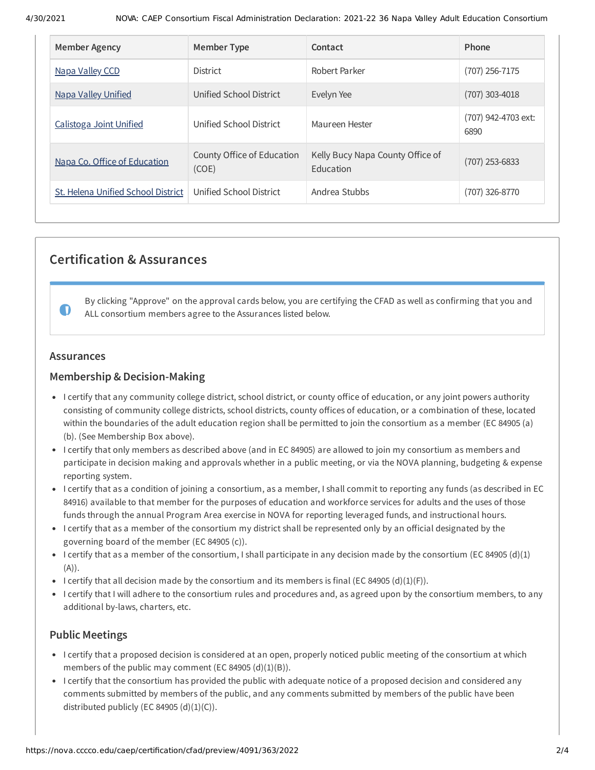| <b>Member Agency</b>               | Member Type                         | Contact                                       | Phone                       |
|------------------------------------|-------------------------------------|-----------------------------------------------|-----------------------------|
| Napa Valley CCD                    | <b>District</b>                     | Robert Parker                                 | (707) 256-7175              |
| <b>Napa Valley Unified</b>         | Unified School District             | Evelyn Yee                                    | $(707)$ 303-4018            |
| Calistoga Joint Unified            | Unified School District             | Maureen Hester                                | (707) 942-4703 ext:<br>6890 |
| Napa Co. Office of Education       | County Office of Education<br>(COE) | Kelly Bucy Napa County Office of<br>Education | $(707)$ 253-6833            |
| St. Helena Unified School District | Unified School District             | Andrea Stubbs                                 | (707) 326-8770              |

## **Certification & Assurances**

By clicking "Approve" on the approval cards below, you are certifying the CFAD as well as confirming that you and ALL consortium members agree to the Assurances listed below.

## **Assurances**

 $\blacksquare$ 

## **Membership & Decision-Making**

- I certify that any community college district, school district, or county office of education, or any joint powers authority consisting of community college districts, school districts, county offices of education, or a combination of these, located within the boundaries of the adult education region shall be permitted to join the consortium as a member (EC 84905 (a) (b). (See Membership Box above).
- I certify that only members as described above (and in EC 84905) are allowed to join my consortium as members and participate in decision making and approvals whether in a public meeting, or via the NOVA planning, budgeting & expense reporting system.
- I certify that as a condition of joining a consortium, as a member, I shall commit to reporting any funds (as described in EC 84916) available to that member for the purposes of education and workforce services for adults and the uses of those funds through the annual Program Area exercise in NOVA for reporting leveraged funds, and instructional hours.
- I certify that as a member of the consortium my district shall be represented only by an official designated by the governing board of the member (EC 84905 (c)).
- I certify that as a member of the consortium, I shall participate in any decision made by the consortium (EC 84905 (d)(1)  $(A)).$
- I certify that all decision made by the consortium and its members is final (EC 84905 (d)(1)(F)).
- I certify that I will adhere to the consortium rules and procedures and, as agreed upon by the consortium members, to any additional by-laws, charters, etc.

## **Public Meetings**

- I certify that a proposed decision is considered at an open, properly noticed public meeting of the consortium at which members of the public may comment (EC 84905 (d)(1)(B)).
- I certify that the consortium has provided the public with adequate notice of a proposed decision and considered any comments submitted by members of the public, and any comments submitted by members of the public have been distributed publicly (EC 84905  $(d)(1)(C)$ ).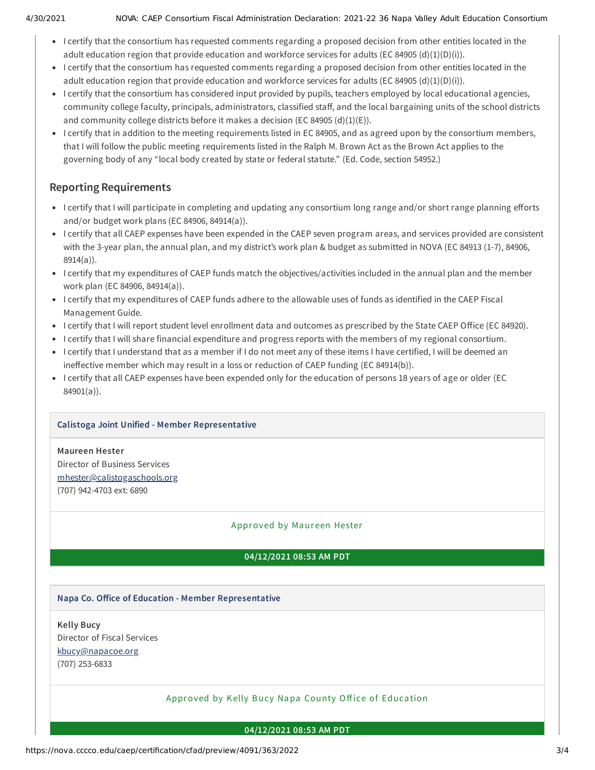- I certify that the consortium has requested comments regarding a proposed decision from other entities located in the adult education region that provide education and workforce services for adults (EC 84905 (d)(1)(D)(i)).
- I certify that the consortium has requested comments regarding a proposed decision from other entities located in the adult education region that provide education and workforce services for adults (EC 84905 (d)(1)(D)(i)).
- I certify that the consortium has considered input provided by pupils, teachers employed by local educational agencies, community college faculty, principals, administrators, classified staff, and the local bargaining units of the school districts and community college districts before it makes a decision (EC 84905  $(d)(1)(E)$ ).
- I certify that in addition to the meeting requirements listed in EC 84905, and as agreed upon by the consortium members, that I will follow the public meeting requirements listed in the Ralph M. Brown Act as the Brown Act applies to the governing body of any "local body created by state or federal statute." (Ed. Code, section 54952.)

## **Reporting Requirements**

- I certify that I will participate in completing and updating any consortium long range and/or short range planning efforts and/or budget work plans (EC 84906, 84914(a)).
- I certify that all CAEP expenses have been expended in the CAEP seven program areas, and services provided are consistent with the 3-year plan, the annual plan, and my district's work plan & budget as submitted in NOVA (EC 84913 (1-7), 84906, 8914(a)).
- I certify that my expenditures of CAEP funds match the objectives/activities included in the annual plan and the member work plan (EC 84906, 84914(a)).
- I certify that my expenditures of CAEP funds adhere to the allowable uses of funds as identified in the CAEP Fiscal Management Guide.
- I certify that I will report student level enrollment data and outcomes as prescribed by the State CAEP Office (EC 84920).
- I certify that I will share financial expenditure and progress reports with the members of my regional consortium.
- I certify that I understand that as a member if I do not meet any of these items I have certified, I will be deemed an ineffective member which may result in a loss or reduction of CAEP funding (EC 84914(b)).
- I certify that all CAEP expenses have been expended only for the education of persons 18 years of age or older (EC 84901(a)).

## **Calistoga Joint Unified - Member Representative**

## **Maureen Hester**

Director of Business Services [mhester@calistogaschools.org](mailto:mhester@calistogaschools.org) (707) 942-4703 ext: 6890

## Approved by Maur een Hester

## **04/12/2021 08:53 AM PDT**

## **Napa Co. Oice of Education - Member Representative**

**Kelly Bucy** Director of Fiscal Services [kbucy@napacoe.org](mailto:kbucy@napacoe.org) (707) 253-6833

#### Approved by Kelly Bucy Napa County Office of Education

#### **04/12/2021 08:53 AM PDT**